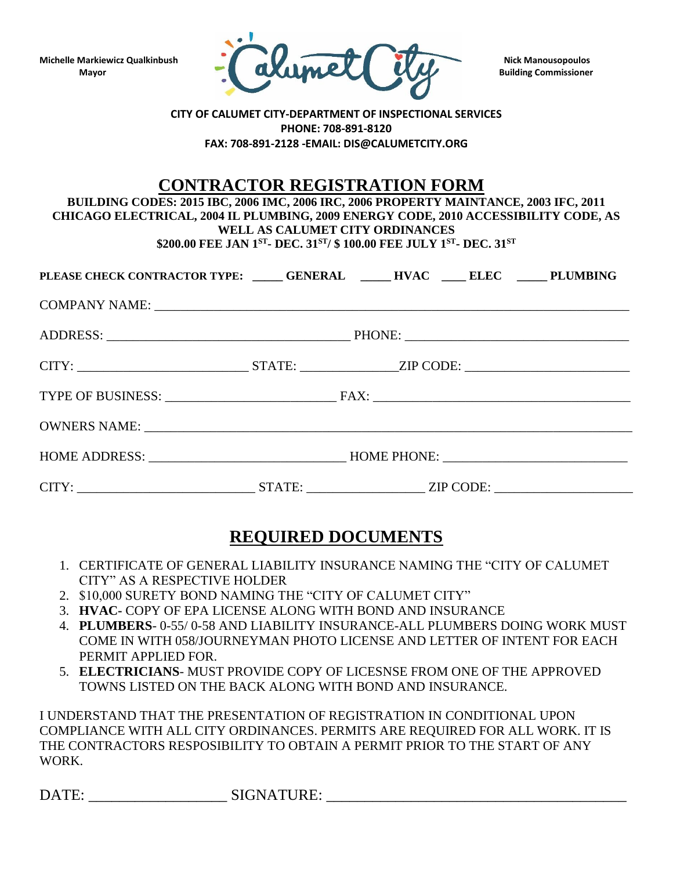

## **CITY OF CALUMET CITY-DEPARTMENT OF INSPECTIONAL SERVICES PHONE: 708-891-8120 FAX: 708-891-2128 -EMAIL: DIS@CALUMETCITY.ORG**

## **CONTRACTOR REGISTRATION FORM**

**BUILDING CODES: 2015 IBC, 2006 IMC, 2006 IRC, 2006 PROPERTY MAINTANCE, 2003 IFC, 2011 CHICAGO ELECTRICAL, 2004 IL PLUMBING, 2009 ENERGY CODE, 2010 ACCESSIBILITY CODE, AS WELL AS CALUMET CITY ORDINANCES \$200.00 FEE JAN 1ST - DEC. 31ST/ \$ 100.00 FEE JULY 1ST - DEC. 31ST**

PLEASE CHECK CONTRACTOR TYPE**:** \_\_\_\_\_\_ GENERAL \_\_\_\_\_\_ HVAC \_\_\_\_\_ ELEC \_\_\_\_\_\_ PLUMBING COMPANY NAME: \_\_\_\_\_\_\_\_\_\_\_\_\_\_\_\_\_\_\_\_\_\_\_\_\_\_\_\_\_\_\_\_\_\_\_\_\_\_\_\_\_\_\_\_\_\_\_\_\_\_\_\_\_\_\_\_\_\_\_\_\_\_\_\_\_\_\_\_\_\_\_\_ ADDRESS: THONE: CITY: \_\_\_\_\_\_\_\_\_\_\_\_\_\_\_\_\_\_\_\_\_\_\_\_\_\_ STATE: \_\_\_\_\_\_\_\_\_\_\_\_\_\_\_ZIP CODE: \_\_\_\_\_\_\_\_\_\_\_\_\_\_\_\_\_\_\_\_\_\_\_\_\_ TYPE OF BUSINESS: \_\_\_\_\_\_\_\_\_\_\_\_\_\_\_\_\_\_\_\_\_\_\_\_\_\_ FAX: \_\_\_\_\_\_\_\_\_\_\_\_\_\_\_\_\_\_\_\_\_\_\_\_\_\_\_\_\_\_\_\_\_\_\_\_\_\_\_ OWNERS NAME: HOME ADDRESS: \_\_\_\_\_\_\_\_\_\_\_\_\_\_\_\_\_\_\_\_\_\_\_\_\_\_\_\_\_\_ HOME PHONE: \_\_\_\_\_\_\_\_\_\_\_\_\_\_\_\_\_\_\_\_\_\_\_\_\_\_\_\_ CITY: \_\_\_\_\_\_\_\_\_\_\_\_\_\_\_\_\_\_\_\_\_\_\_\_\_\_\_ STATE: \_\_\_\_\_\_\_\_\_\_\_\_\_\_\_\_\_\_ ZIP CODE: \_\_\_\_\_\_\_\_\_\_\_\_\_\_\_\_\_\_\_\_\_

## **REQUIRED DOCUMENTS**

- 1. CERTIFICATE OF GENERAL LIABILITY INSURANCE NAMING THE "CITY OF CALUMET CITY" AS A RESPECTIVE HOLDER
- 2. \$10,000 SURETY BOND NAMING THE "CITY OF CALUMET CITY"
- 3. **HVAC-** COPY OF EPA LICENSE ALONG WITH BOND AND INSURANCE
- 4. **PLUMBERS** 0-55/ 0-58 AND LIABILITY INSURANCE-ALL PLUMBERS DOING WORK MUST COME IN WITH 058/JOURNEYMAN PHOTO LICENSE AND LETTER OF INTENT FOR EACH PERMIT APPLIED FOR.
- 5. **ELECTRICIANS** MUST PROVIDE COPY OF LICESNSE FROM ONE OF THE APPROVED TOWNS LISTED ON THE BACK ALONG WITH BOND AND INSURANCE.

I UNDERSTAND THAT THE PRESENTATION OF REGISTRATION IN CONDITIONAL UPON COMPLIANCE WITH ALL CITY ORDINANCES. PERMITS ARE REQUIRED FOR ALL WORK. IT IS THE CONTRACTORS RESPOSIBILITY TO OBTAIN A PERMIT PRIOR TO THE START OF ANY WORK.

DATE: SIGNATURE: